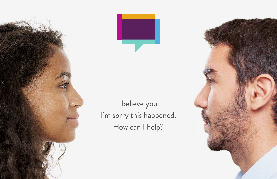



I believe you. I'm sorry this happened. How can I help?